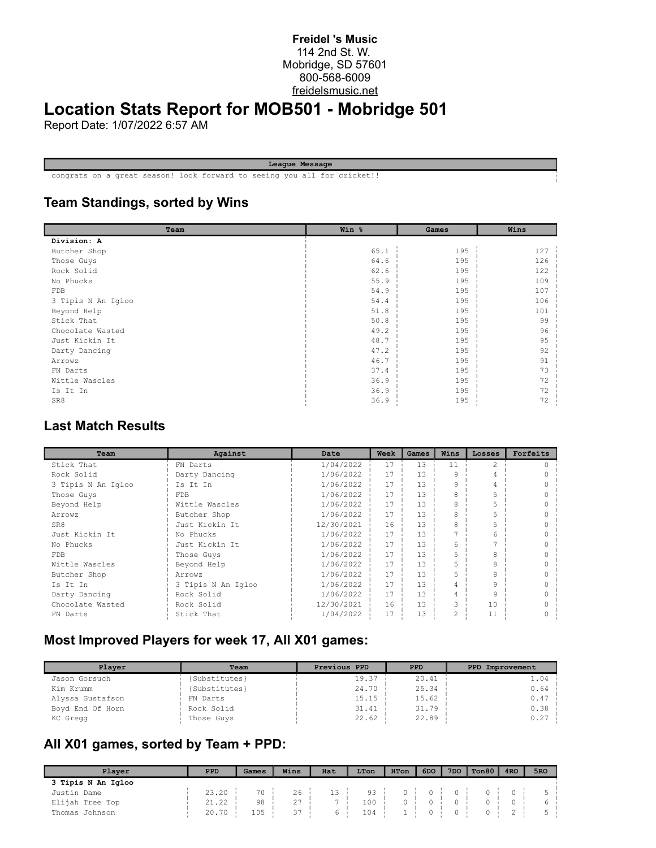#### **Freidel 's Music** 114 2nd St. W. Mobridge, SD 57601 800-568-6009 freidelsmusic.net

# **Location Stats Report for MOB501 - Mobridge 501**

Report Date: 1/07/2022 6:57 AM

**League Message**

congrats on a great season! look forward to seeing you all for cricket!!

### **Team Standings, sorted by Wins**

| Team               | Win % | Games | Wins |
|--------------------|-------|-------|------|
| Division: A        |       |       |      |
| Butcher Shop       | 65.1  | 195   | 127  |
| Those Guys         | 64.6  | 195   | 126  |
| Rock Solid         | 62.6  | 195   | 122  |
| No Phucks          | 55.9  | 195   | 109  |
| FDB                | 54.9  | 195   | 107  |
| 3 Tipis N An Igloo | 54.4  | 195   | 106  |
| Beyond Help        | 51.8  | 195   | 101  |
| Stick That         | 50.8  | 195   | 99   |
| Chocolate Wasted   | 49.2  | 195   | 96   |
| Just Kickin It     | 48.7  | 195   | 95   |
| Darty Dancing      | 47.2  | 195   | 92   |
| Arrowz             | 46.7  | 195   | 91   |
| FN Darts           | 37.4  | 195   | 73   |
| Wittle Wascles     | 36.9  | 195   | 72   |
| Is It In           | 36.9  | 195   | 72   |
| SR8                | 36.9  | 195   | 72   |

#### **Last Match Results**

| Team               | Against            | Date       | Week | Games | Wins | Losses | Forfeits |
|--------------------|--------------------|------------|------|-------|------|--------|----------|
| Stick That         | FN Darts           | 1/04/2022  | 17   | 13    | 11   | 2      |          |
| Rock Solid         | Darty Dancing      | 1/06/2022  | 17   | 1.3   | 9    |        |          |
| 3 Tipis N An Igloo | Is It In           | 1/06/2022  | 17   | 1.3   | 9    |        |          |
| Those Guys         | <b>FDB</b>         | 1/06/2022  | 17   | 13    | 8    |        |          |
| Beyond Help        | Wittle Wascles     | 1/06/2022  | 17   | 1.3   | 8    |        |          |
| Arrowz             | Butcher Shop       | 1/06/2022  | 17   | 13    | 8    |        |          |
| SR8                | Just Kickin It     | 12/30/2021 | 16   | 1.3   | 8    |        |          |
| Just Kickin It     | No Phucks          | 1/06/2022  | 17   | 13    |      | 6      |          |
| No Phucks          | Just Kickin It     | 1/06/2022  | 17   | 1.3   | 6    |        |          |
| FDB.               | Those Guys         | 1/06/2022  | 17   | 1.3   |      | 8      |          |
| Wittle Wascles     | Beyond Help        | 1/06/2022  | 17   | 1.3   | 5    | 8      |          |
| Butcher Shop       | Arrowz             | 1/06/2022  | 17   | 13    |      | 8      |          |
| Is It In           | 3 Tipis N An Igloo | 1/06/2022  | 17   | 1.3   | 4    | 9      |          |
| Darty Dancing      | Rock Solid         | 1/06/2022  | 17   | 13    | 4    | 9      |          |
| Chocolate Wasted   | Rock Solid         | 12/30/2021 | 16   | 1.3   | 3    | 10     |          |
| FN Darts           | Stick That         | 1/04/2022  | 17   | 13    | 2    | 11     |          |

## **Most Improved Players for week 17, All X01 games:**

| Plaver           | Team          | Previous PPD | <b>PPD</b> | PPD Improvement |
|------------------|---------------|--------------|------------|-----------------|
| Jason Gorsuch    | {Substitutes} | 19.37        | 20.41      | $1.04 -$        |
| Kim Krumm        | {Substitutes} | 24.70        | 25.34      | $0.64$ i        |
| Alyssa Gustafson | FN Darts      | 15.15        | 15.62      | $0.47 -$        |
| Boyd End Of Horn | Rock Solid    | 31.41        | 31.79      | 0.38            |
| KC Gregg         | Those Guys    | 22.62        | 22.89      | $0.27 -$        |

# **All X01 games, sorted by Team + PPD:**

| Player             | PPD   | Games | Wins | Hat | LTon | HTon | 6DO | 7 <sub>DO</sub> | Ton80 | 4 <sub>RO</sub> | 5 <sub>RO</sub> |
|--------------------|-------|-------|------|-----|------|------|-----|-----------------|-------|-----------------|-----------------|
| 3 Tipis N An Igloo |       |       |      |     |      |      |     |                 |       |                 |                 |
| Justin Dame        | 23.20 | 70    | 26   | 13  | 93   |      |     |                 |       |                 |                 |
| Elijah Tree Top    | 21.22 | 98    | 27   |     | 100  |      |     |                 |       |                 |                 |
| Thomas Johnson     | 20.70 | ⊥05   | 37   |     | 104  |      |     |                 |       |                 |                 |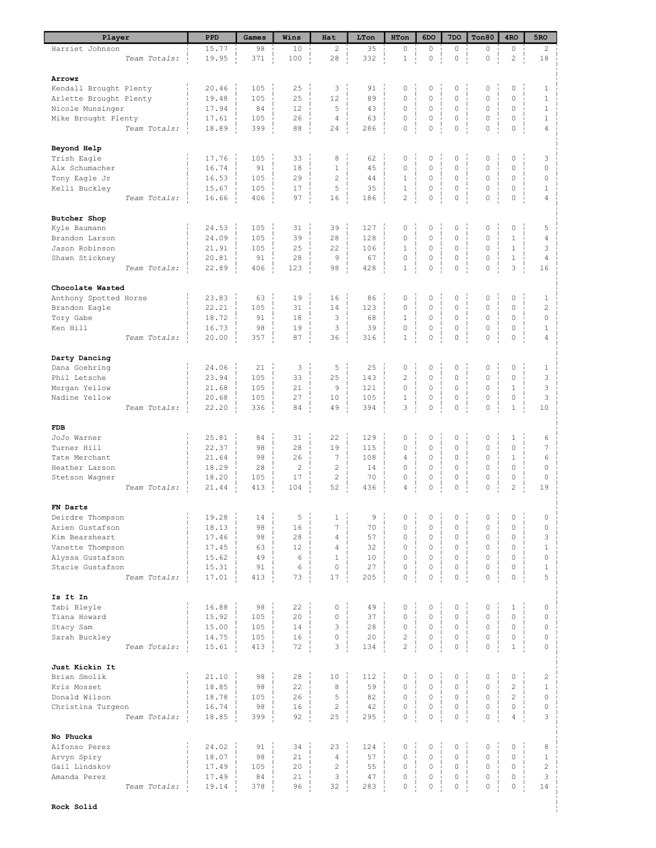| Player                 | PPD   | Games | Wins           | Hat              | LTon | HTon                | 6DO                 | 7 <sub>DO</sub>     | Ton80               | 4 <sub>RO</sub>     | 5RO            |
|------------------------|-------|-------|----------------|------------------|------|---------------------|---------------------|---------------------|---------------------|---------------------|----------------|
| Harriet Johnson        | 15.77 | 98    | 10             | 2                | 35   | 0                   | 0                   | $\circ$             | 0                   | 0                   | $\overline{c}$ |
| Team Totals:           | 19.95 | 371   | 100            | 28               | 332  | $\,1$               | $\mathsf{O}\xspace$ | $\mathsf{O}\xspace$ | $\mathsf{O}\xspace$ | $\overline{c}$      | 18             |
|                        |       |       |                |                  |      |                     |                     |                     |                     |                     |                |
| Arrowz                 |       |       |                |                  |      |                     |                     |                     |                     |                     |                |
| Kendall Brought Plenty | 20.46 | 105   | 25             | 3                | 91   | $\circ$             | 0                   | $\mathbf 0$         | 0                   | 0                   | $\mathbf{1}$   |
| Arlette Brought Plenty | 19.48 | 105   | 25             | 12               | 89   | 0                   | $\circ$             | $\mathbf 0$         | 0                   | 0                   | $1\,$          |
| Nicole Munsinger       | 17.94 | 84    | 12             | 5                | 43   | $\mathbb O$         | $\mathsf{O}\xspace$ | $\mathbf 0$         | 0                   | 0                   | $\mathbf{1}$   |
| Mike Brought Plenty    | 17.61 | 105   | 26             | $\sqrt{4}$       | 63   | $\mathsf{O}\xspace$ | $\mathsf{O}\xspace$ | $\mathbf 0$         | $\mathbb O$         | 0                   | $\mathbf{1}$   |
| Team Totals:           | 18.89 | 399   | 88             | 24               | 286  | $\mathbf 0$         | $\mathsf{O}\xspace$ | 0                   | $\mathsf{O}\xspace$ | $\mathsf{O}\xspace$ | $\overline{4}$ |
|                        |       |       |                |                  |      |                     |                     |                     |                     |                     |                |
| Beyond Help            |       |       |                |                  |      |                     |                     |                     |                     |                     |                |
| Trish Eagle            | 17.76 | 105   | 33             | 8                | 62   | 0                   | 0                   | 0                   | 0                   | 0                   | 3              |
| Alx Schumacher         | 16.74 | 91    | 18             | $\mathbf{1}$     | 45   | $\circ$             | $\mathsf{O}\xspace$ | $\mathbf 0$         | 0                   | 0                   | $\circ$        |
| Tony Eagle Jr          | 16.53 | 105   | 29             | $\overline{2}$   | 44   | $\mathbf{1}$        | 0                   | $\mathbf 0$         | 0                   | 0                   | $\circ$        |
| Kelli Buckley          | 15.67 | 105   | 17             | 5                | 35   | $1\,$               | $\mathsf{O}\xspace$ | $\mathbf 0$         | $\mathbb O$         | 0                   | $\mathbf{1}$   |
| Team Totals:           | 16.66 | 406   | 97             | 16               | 186  | $\overline{c}$      | $\mathsf{O}\xspace$ | 0                   | 0                   | 0                   | 4              |
|                        |       |       |                |                  |      |                     |                     |                     |                     |                     |                |
| Butcher Shop           |       |       |                |                  |      |                     |                     |                     |                     |                     |                |
| Kyle Baumann           | 24.53 | 105   | 31             | 39               | 127  | $\mathbb O$         | 0                   | $\circ$             | 0                   | 0                   | 5              |
| Brandon Larson         | 24.09 | 105   | 39             | 28               | 128  | 0                   | $\mathsf{O}\xspace$ | $\mathbf 0$         | 0                   | $1\,$               | 4              |
|                        |       |       |                |                  |      |                     |                     |                     |                     |                     |                |
| Jason Robinson         | 21.91 | 105   | 25             | 22               | 106  | $\mathbf{1}$        | 0                   | $\mathbf 0$         | 0                   | $\mathbf{1}$        | 3              |
| Shawn Stickney         | 20.81 | 91    | 28             | 9                | 67   | $\mathbb O$         | 0                   | 0                   | 0                   | $\mathbf{1}$        | $\overline{4}$ |
| Team Totals:           | 22.89 | 406   | 123            | 98               | 428  | $1\,$               | $\mathbf 0$         | 0                   | $\mathbf 0$         | 3                   | 16             |
|                        |       |       |                |                  |      |                     |                     |                     |                     |                     |                |
| Chocolate Wasted       |       |       |                |                  |      |                     |                     |                     |                     |                     |                |
| Anthony Spotted Horse  | 23.83 | 63    | 19             | 16               | 86   | 0                   | 0                   | 0                   | 0                   | 0                   | $\mathbf{1}$   |
| Brandon Eagle          | 22.21 | 105   | 31             | 14               | 123  | $\mathbb O$         | $\mathsf{O}\xspace$ | $\mathbf 0$         | 0                   | 0                   | $\overline{c}$ |
| Tory Gabe              | 18.72 | 91    | 18             | 3                | 68   | $\mathbf{1}$        | $\mathsf{O}\xspace$ | $\mathbf 0$         | 0                   | 0                   | $\circ$        |
| Ken Hill               | 16.73 | 98    | 19             | 3                | 39   | 0                   | $\mathsf{O}\xspace$ | 0                   | 0                   | 0                   | $1\,$          |
| Team Totals:           | 20.00 | 357   | 87             | 36               | 316  | $\,1$               | $\mathbb O$         | 0                   | $\mathsf{O}\xspace$ | 0                   | $\overline{4}$ |
|                        |       |       |                |                  |      |                     |                     |                     |                     |                     |                |
| Darty Dancing          |       |       |                |                  |      |                     |                     |                     |                     |                     |                |
| Dana Goehring          | 24.06 | 21    | 3              | 5                | 25   | $\mathbb O$         | 0                   | $\mathbf 0$         | 0                   | 0                   | $\mathbf{1}$   |
| Phil Letsche           | 23.94 | 105   | 33             | 25               | 143  | $\overline{c}$      | $\circ$             | $\mathbf 0$         | 0                   | 0                   | 3              |
| Morgan Yellow          | 21.68 | 105   | 21             | 9                | 121  | 0                   | $\mathsf{O}\xspace$ | $\mathbf 0$         | 0                   | $1\,$               | $\mathsf 3$    |
| Nadine Yellow          | 20.68 | 105   | 27             | 10               | 105  | $1\,$               | 0                   | $\mathbf 0$         | 0                   | 0                   | 3              |
| Team Totals:           | 22.20 | 336   | 84             | 49               | 394  | 3                   | 0                   | $\circ$             | $\circ$             | $\mathbf{1}$        | 10             |
|                        |       |       |                |                  |      |                     |                     |                     |                     |                     |                |
| <b>FDB</b>             |       |       |                |                  |      |                     |                     |                     |                     |                     |                |
| JoJo Warner            | 25.81 | 84    | 31             | 22               | 129  | 0                   | 0                   | 0                   | 0                   | $\mathbf 1$         | 6              |
| Turner Hill            | 22.37 | 98    | 28             | 19               | 115  | $\circ$             | 0                   | $\mathbf 0$         | 0                   | 0                   | 7              |
| Tate Merchant          | 21.64 | 98    | 26             | $\boldsymbol{7}$ | 108  | 4                   | 0                   | $\mathbf 0$         | 0                   | $1\,$               | 6              |
| Heather Larson         | 18.29 | 28    | $\overline{c}$ | $\sqrt{2}$       | 14   | $\circ$             | $\mathbf 0$         | $\mathbf 0$         | 0                   | $\overline{0}$      | $\circ$        |
| Stetson Wagner         | 18.20 | 105   | 17             | $\overline{c}$   | 70   | 0                   | $\mathsf{O}\xspace$ | $\mathbf 0$         | 0                   | 0                   | $\circ$        |
| Team Totals:           | 21.44 | 413   | 104            | 52               | 436  | 4                   | 0                   | 0                   | 0                   | $\overline{c}$      | 19             |
|                        |       |       |                |                  |      |                     |                     |                     |                     |                     |                |
| FN Darts               |       |       |                |                  |      |                     |                     |                     |                     |                     |                |
| Deirdre Thompson       | 19.28 | 14    | 5              | $\mathbf{1}$     | 9    | 0                   | 0                   | $\Omega$            | 0                   | 0                   | 0              |
| Arien Gustafson        |       | 98    | 16             | 7                | 70   | $\mathbb O$         | $\mathsf{O}\xspace$ | $\mathbf 0$         | 0                   | 0                   | $\mathbb O$    |
| Kim Bearsheart         | 18.13 |       | 28             | $\overline{4}$   | 57   |                     | $\mathsf{O}\xspace$ | $\mathbf{0}$        |                     | 0                   | 3              |
|                        | 17.46 | 98    |                |                  |      | 0                   |                     |                     | 0                   |                     |                |
| Vanette Thompson       | 17.45 | 63    | 12             | $\overline{4}$   | 32   | 0                   | $\circ$             | $\mathbf 0$         | 0                   | 0                   | $1\,$          |
| Alyssa Gustafson       | 15.62 | 49    | 6              | $1\,$            | 10   | $\circ$             | $\mathbf 0$         | $\mathbf 0$         | 0                   | 0                   | $\circ$        |
| Stacie Gustafson       | 15.31 | 91    | 6              | $\mathbf 0$      | 27   | 0                   | $\mathsf{O}\xspace$ | $\mathbf 0$         | 0                   | 0                   | $\,1\,$        |
| Team Totals:           | 17.01 | 413   | 73             | 17               | 205  | $\mathsf{O}\xspace$ | $\mathsf{O}\xspace$ | 0                   | $\mathsf{O}\xspace$ | $\mathsf{O}\xspace$ | 5              |
|                        |       |       |                |                  |      |                     |                     |                     |                     |                     |                |
| Is It In               |       |       |                |                  |      |                     |                     |                     |                     |                     |                |
| Tabi Bleyle            | 16.88 | 98    | 22             | $\mathbb O$      | 49   | 0                   | 0                   | $\circ$             | $\circ$             | $\mathbf{1}$        | $\circ$        |
| Tiana Howard           | 15.92 | 105   | 20             | $\mathbb O$      | 37   | 0                   | 0                   | $\mathbf 0$         | 0                   | $\overline{0}$      | $\circ$        |
| Stacy Sam              | 15.00 | 105   | 14             | 3                | 28   | $\mathbb O$         | 0                   | $\mathbf 0$         | $\mathbb O$         | 0                   | $\circ$        |
| Sarah Buckley          | 14.75 | 105   | 16             | $\mathbb O$      | 20   | $\overline{c}$      | 0                   | $\mathbf 0$         | 0                   | 0                   | $\circ$        |
| Team Totals:           | 15.61 | 413   | 72             | 3                | 134  | $\overline{c}$      | $\mathbf 0$         | $\mathbf 0$         | $\mathbf{0}$        | $\mathbf{1}$        | $\Omega$       |
|                        |       |       |                |                  |      |                     |                     |                     |                     |                     |                |
| Just Kickin It         |       |       |                |                  |      |                     |                     |                     |                     |                     |                |
| Brian Smolik           | 21.10 | 98    | 28             | 10               | 112  | 0                   | 0                   | 0                   | $\circ$             | 0                   | $\overline{c}$ |
| Kris Mosset            | 18.85 | 98    | 22             | 8                | 59   | $\mathsf{O}\xspace$ | 0                   | $\mathbf 0$         | $\circ$             | $\overline{c}$      | $\mathbf{1}$   |
| Donald Wilson          | 18.78 | 105   | 26             | 5                | 82   | 0                   | $\mathsf{O}\xspace$ | $\circ$             | $\circ$             | $\overline{c}$      | $\circ$        |
| Christina Turgeon      | 16.74 | 98    | 16             | $\mathbf{2}$     | 42   | 0                   | $\mathsf{O}\xspace$ | $\mathbf 0$         | $\circ$             | 0                   | $\circ$        |
| Team Totals:           | 18.85 | 399   | 92             | 25               | 295  | $\mathsf{O}\xspace$ | $\mathbf 0$         | $\mathbb O$         | $\mathsf{O}\xspace$ | $\overline{4}$      | 3              |
|                        |       |       |                |                  |      |                     |                     |                     |                     |                     |                |
| No Phucks              |       |       |                |                  |      |                     |                     |                     |                     |                     |                |
| Alfonso Perez          | 24.02 | 91    | 34             | 23               | 124  | $\mathbb O$         | 0                   | 0                   | $\mathbb O$         | 0                   | 8              |
| Arvyn Spiry            | 18.07 | 98    | 21             | $\overline{4}$   | 57   | $\circ$             | 0                   | $\mathbf 0$         | 0                   | 0                   | $\mathbf{1}$   |
| Gail Lindskov          | 17.49 | 105   | 20             | $\mathbf{2}$     | 55   | 0                   | 0                   | $\mathsf{O}\xspace$ | $\circ$             | 0                   | $\overline{c}$ |
| Amanda Perez           | 17.49 | 84    | 21             | 3                | 47   | 0                   | 0                   | $\mathbf 0$         | $\circ$             | 0                   | 3              |
|                        |       | 378   | 96             | 32               |      | $\circ$             | 0                   | $\circ$             | $\circ$             | 0                   | 14             |
| Team Totals:           | 19.14 |       |                |                  | 283  |                     |                     |                     |                     |                     |                |
|                        |       |       |                |                  |      |                     |                     |                     |                     |                     |                |
| Rock Solid             |       |       |                |                  |      |                     |                     |                     |                     |                     |                |